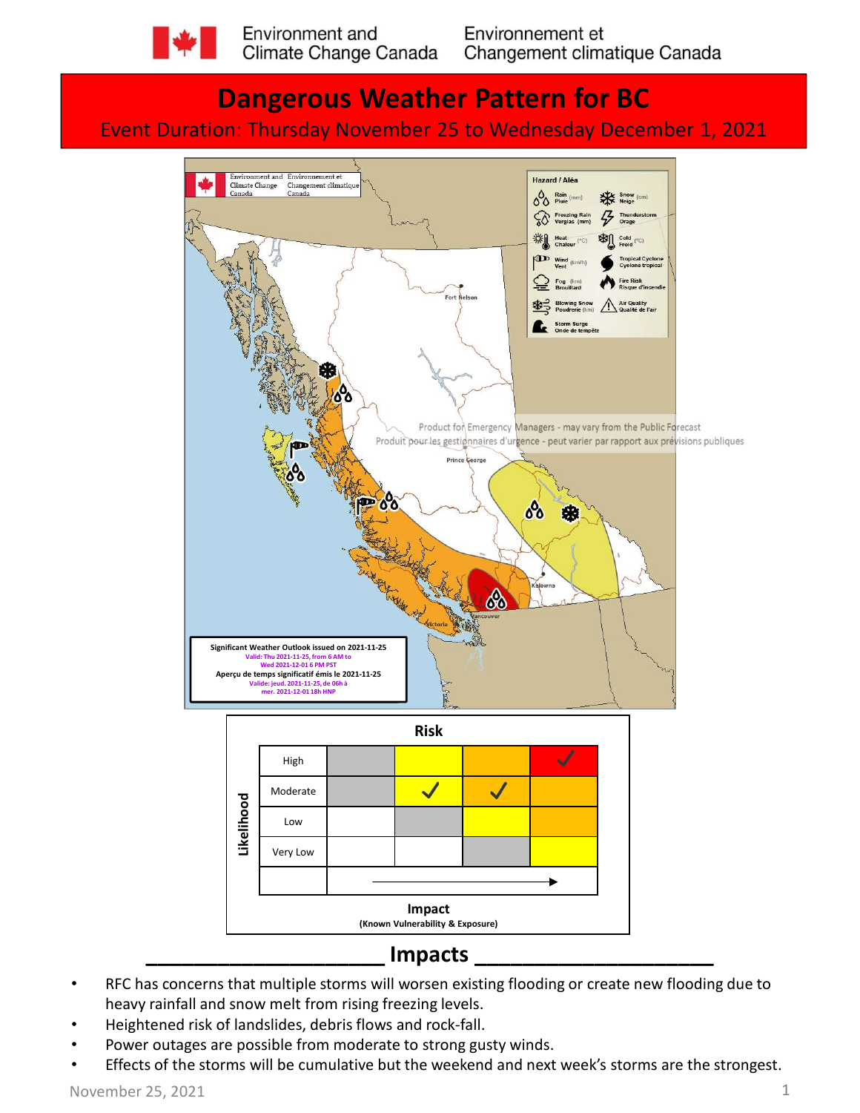

# Dangerous Weather Pattern for BC Event Duration: Thursday November 25 to Wednesday December 1, 2021



- RFC has concerns that multiple storms will worsen existing flooding or create new flooding due to heavy rainfall and snow melt from rising freezing levels.
- Heightened risk of landslides, debris flows and rock-fall.
- Power outages are possible from moderate to strong gusty winds.
- Effects of the storms will be cumulative but the weekend and next week's storms are the strongest.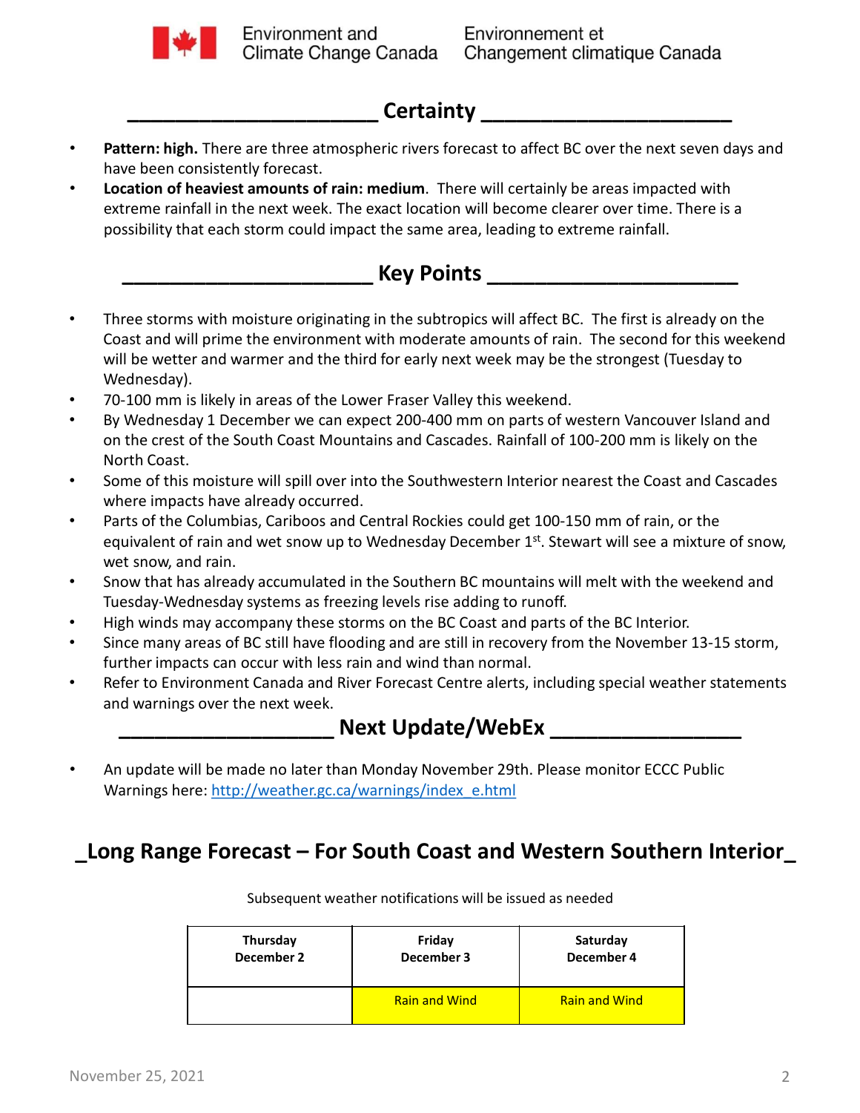

### Certainty

- Pattern: high. There are three atmospheric rivers forecast to affect BC over the next seven days and have been consistently forecast.
- Location of heaviest amounts of rain: medium. There will certainly be areas impacted with extreme rainfall in the next week. The exact location will become clearer over time. There is a possibility that each storm could impact the same area, leading to extreme rainfall.

#### Key Points \_\_\_\_\_\_\_\_\_

- Three storms with moisture originating in the subtropics will affect BC. The first is already on the Coast and will prime the environment with moderate amounts of rain. The second for this weekend will be wetter and warmer and the third for early next week may be the strongest (Tuesday to Wednesday). • **Location of heavier the near the columbias, Cariboos and Central Rockies and Central Rockies and Central Rockies and Central Rockies and Central Rockies and Central Rockies and Central Rockies could appear the Const and**
- 70-100 mm is likely in areas of the Lower Fraser Valley this weekend.
- By Wednesday 1 December we can expect 200-400 mm on parts of western Vancouver Island and on the crest of the South Coast Mountains and Cascades. Rainfall of 100-200 mm is likely on the North Coast.
- Some of this moisture will spill over into the Southwestern Interior nearest the Coast and Cascades where impacts have already occurred.
- By we mestay 1 December we can expect 200-400 mm on parts of western Vancouver Island and<br>
North Coast.<br>
 Some of this moisture will spill over into the Southwestern Interior nearest the Coast and Cascades<br>
where impact equivalent of rain and wet snow up to Wednesday December  $1<sup>st</sup>$ . Stewart will see a mixture of snow, wet snow, and rain. Where impacts have aready occurred.<br>
Parts of the Columbias, Cariboos and Central Rockies could get 100-150 mm of rain, or the<br>
equivalent of rain and wet snow up to Wednesday December 1<sup>xt</sup>. Stewart will see a mixture of
- Snow that has already accumulated in the Southern BC mountains will melt with the weekend and Tuesday-Wednesday systems as freezing levels rise adding to runoff.
- High winds may accompany these storms on the BC Coast and parts of the BC Interior.
- Since many areas of BC still have flooding and are still in recovery from the November 13-15 storm, further impacts can occur with less rain and wind than normal.
- Refer to Environment Canada and River Forecast Centre alerts, including special weather statements and warnings over the next week.



Warnings here: http://weather.gc.ca/warnings/index\_e.html

| Thursday<br>December 2 | e Forecast – For South Coast and Western Southern Interior<br>Subsequent weather notifications will be issued as needed<br>Friday<br>December 3 | Saturday<br>December 4 |
|------------------------|-------------------------------------------------------------------------------------------------------------------------------------------------|------------------------|
|                        |                                                                                                                                                 |                        |
|                        |                                                                                                                                                 |                        |
|                        | ill be made no later than Monday November 29th. Please monitor ECCC Public<br>re: http://weather.gc.ca/warnings/index e.html                    |                        |
|                        | <b>Next Update/WebEx</b>                                                                                                                        |                        |
| s over the next week.  |                                                                                                                                                 |                        |
|                        | ironment Canada and River Forecast Centre alerts, including special weather statements                                                          |                        |
|                        | areas of BC still have flooding and are still in recovery from the November 13-15 storm,<br>cts can occur with less rain and wind than normal.  |                        |
|                        |                                                                                                                                                 |                        |